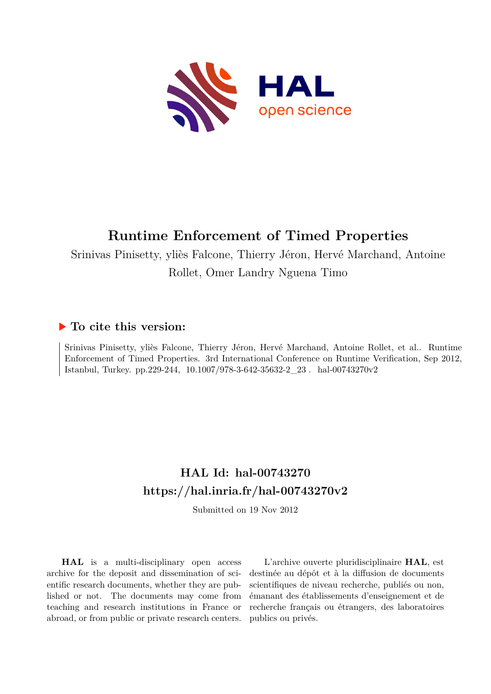

# **Runtime Enforcement of Timed Properties**

Srinivas Pinisetty, yliès Falcone, Thierry Jéron, Hervé Marchand, Antoine Rollet, Omer Landry Nguena Timo

# **To cite this version:**

Srinivas Pinisetty, yliès Falcone, Thierry Jéron, Hervé Marchand, Antoine Rollet, et al.. Runtime Enforcement of Timed Properties. 3rd International Conference on Runtime Verification, Sep 2012, Istanbul, Turkey. pp.229-244,  $10.1007/978-3-642-35632-2\_23$ . hal-00743270v2

# **HAL Id: hal-00743270 <https://hal.inria.fr/hal-00743270v2>**

Submitted on 19 Nov 2012

**HAL** is a multi-disciplinary open access archive for the deposit and dissemination of scientific research documents, whether they are published or not. The documents may come from teaching and research institutions in France or abroad, or from public or private research centers.

L'archive ouverte pluridisciplinaire **HAL**, est destinée au dépôt et à la diffusion de documents scientifiques de niveau recherche, publiés ou non, émanant des établissements d'enseignement et de recherche français ou étrangers, des laboratoires publics ou privés.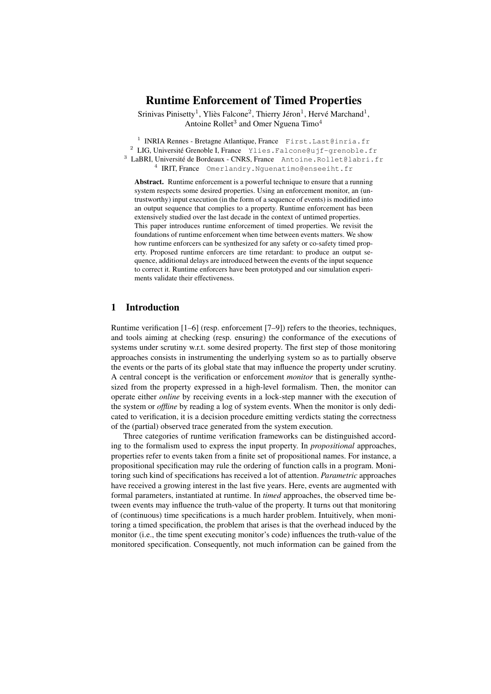# Runtime Enforcement of Timed Properties

Srinivas Pinisetty<sup>1</sup>, Yliès Falcone<sup>2</sup>, Thierry Jéron<sup>1</sup>, Hervé Marchand<sup>1</sup>, Antoine Rollet<sup>3</sup> and Omer Nguena Timo<sup>4</sup>

<sup>1</sup> INRIA Rennes - Bretagne Atlantique, France First. Last@inria.fr <sup>2</sup> LIG, Université Grenoble I, France Ylies. Falcone@ujf-grenoble.fr  $3$  LaBRI, Université de Bordeaux - CNRS, France Antoine.Rollet@labri.fr <sup>4</sup> IRIT, France Omerlandry.Nguenatimo@enseeiht.fr

Abstract. Runtime enforcement is a powerful technique to ensure that a running system respects some desired properties. Using an enforcement monitor, an (untrustworthy) input execution (in the form of a sequence of events) is modified into an output sequence that complies to a property. Runtime enforcement has been extensively studied over the last decade in the context of untimed properties. This paper introduces runtime enforcement of timed properties. We revisit the foundations of runtime enforcement when time between events matters. We show how runtime enforcers can be synthesized for any safety or co-safety timed property. Proposed runtime enforcers are time retardant: to produce an output sequence, additional delays are introduced between the events of the input sequence to correct it. Runtime enforcers have been prototyped and our simulation experiments validate their effectiveness.

# 1 Introduction

Runtime verification  $[1-6]$  (resp. enforcement  $[7-9]$ ) refers to the theories, techniques, and tools aiming at checking (resp. ensuring) the conformance of the executions of systems under scrutiny w.r.t. some desired property. The first step of those monitoring approaches consists in instrumenting the underlying system so as to partially observe the events or the parts of its global state that may influence the property under scrutiny. A central concept is the verification or enforcement *monitor* that is generally synthesized from the property expressed in a high-level formalism. Then, the monitor can operate either *online* by receiving events in a lock-step manner with the execution of the system or *offline* by reading a log of system events. When the monitor is only dedicated to verification, it is a decision procedure emitting verdicts stating the correctness of the (partial) observed trace generated from the system execution.

Three categories of runtime verification frameworks can be distinguished according to the formalism used to express the input property. In *propositional* approaches, properties refer to events taken from a finite set of propositional names. For instance, a propositional specification may rule the ordering of function calls in a program. Monitoring such kind of specifications has received a lot of attention. *Parametric* approaches have received a growing interest in the last five years. Here, events are augmented with formal parameters, instantiated at runtime. In *timed* approaches, the observed time between events may influence the truth-value of the property. It turns out that monitoring of (continuous) time specifications is a much harder problem. Intuitively, when monitoring a timed specification, the problem that arises is that the overhead induced by the monitor (i.e., the time spent executing monitor's code) influences the truth-value of the monitored specification. Consequently, not much information can be gained from the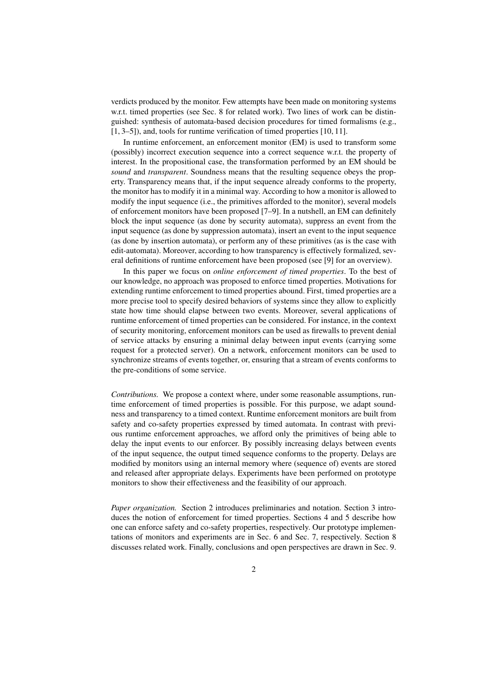verdicts produced by the monitor. Few attempts have been made on monitoring systems w.r.t. timed properties (see Sec. 8 for related work). Two lines of work can be distinguished: synthesis of automata-based decision procedures for timed formalisms (e.g., [1, 3–5]), and, tools for runtime verification of timed properties [10, 11].

In runtime enforcement, an enforcement monitor (EM) is used to transform some (possibly) incorrect execution sequence into a correct sequence w.r.t. the property of interest. In the propositional case, the transformation performed by an EM should be *sound* and *transparent*. Soundness means that the resulting sequence obeys the property. Transparency means that, if the input sequence already conforms to the property, the monitor has to modify it in a minimal way. According to how a monitor is allowed to modify the input sequence (i.e., the primitives afforded to the monitor), several models of enforcement monitors have been proposed [7–9]. In a nutshell, an EM can definitely block the input sequence (as done by security automata), suppress an event from the input sequence (as done by suppression automata), insert an event to the input sequence (as done by insertion automata), or perform any of these primitives (as is the case with edit-automata). Moreover, according to how transparency is effectively formalized, several definitions of runtime enforcement have been proposed (see [9] for an overview).

In this paper we focus on *online enforcement of timed properties*. To the best of our knowledge, no approach was proposed to enforce timed properties. Motivations for extending runtime enforcement to timed properties abound. First, timed properties are a more precise tool to specify desired behaviors of systems since they allow to explicitly state how time should elapse between two events. Moreover, several applications of runtime enforcement of timed properties can be considered. For instance, in the context of security monitoring, enforcement monitors can be used as firewalls to prevent denial of service attacks by ensuring a minimal delay between input events (carrying some request for a protected server). On a network, enforcement monitors can be used to synchronize streams of events together, or, ensuring that a stream of events conforms to the pre-conditions of some service.

*Contributions.* We propose a context where, under some reasonable assumptions, runtime enforcement of timed properties is possible. For this purpose, we adapt soundness and transparency to a timed context. Runtime enforcement monitors are built from safety and co-safety properties expressed by timed automata. In contrast with previous runtime enforcement approaches, we afford only the primitives of being able to delay the input events to our enforcer. By possibly increasing delays between events of the input sequence, the output timed sequence conforms to the property. Delays are modified by monitors using an internal memory where (sequence of) events are stored and released after appropriate delays. Experiments have been performed on prototype monitors to show their effectiveness and the feasibility of our approach.

*Paper organization.* Section 2 introduces preliminaries and notation. Section 3 introduces the notion of enforcement for timed properties. Sections 4 and 5 describe how one can enforce safety and co-safety properties, respectively. Our prototype implementations of monitors and experiments are in Sec. 6 and Sec. 7, respectively. Section 8 discusses related work. Finally, conclusions and open perspectives are drawn in Sec. 9.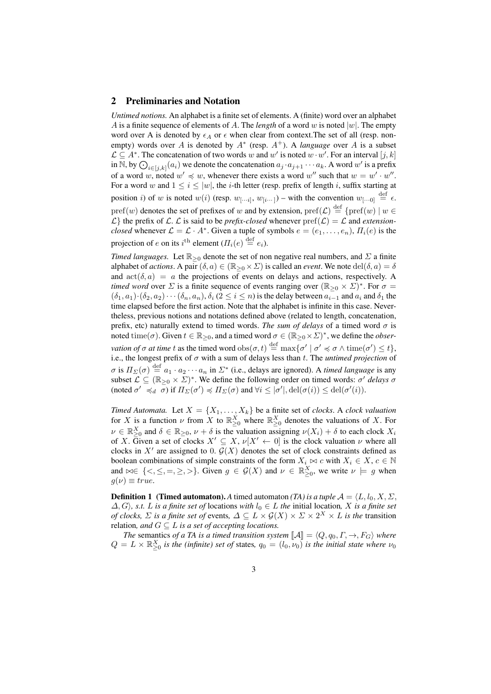# 2 Preliminaries and Notation

*Untimed notions.* An alphabet is a finite set of elements. A (finite) word over an alphabet A is a finite sequence of elements of A. The *length* of a word w is noted  $|w|$ . The empty word over A is denoted by  $\epsilon_A$  or  $\epsilon$  when clear from context. The set of all (resp. nonempty) words over A is denoted by  $A^*$  (resp.  $A^+$ ). A *language* over A is a subset  $\mathcal{L} \subseteq A^*$ . The concatenation of two words w and w' is noted  $w \cdot w'$ . For an interval  $[j, k]$ in N, by  $\bigodot_{i \in [j,k]} (a_i)$  we denote the concatenation  $a_j \cdot a_{j+1} \cdots a_k$ . A word w' is a prefix of a word w, noted  $w' \preccurlyeq w$ , whenever there exists a word w'' such that  $w = w' \cdot w''$ . For a word w and  $1 \leq i \leq |w|$ , the *i*-th letter (resp. prefix of length *i*, suffix starting at position *i*) of *w* is noted  $w(i)$  (resp.  $w_{[\cdots i]}, w_{[i \cdots]})$  – with the convention  $w_{[\cdots 0]} \stackrel{\text{def}}{=} \epsilon$ .  $pref(w)$  denotes the set of prefixes of w and by extension,  $pref(\mathcal{L})\stackrel{\text{def}}{=} \{pref(w) \mid w \in$  $\mathcal{L}$  the prefix of  $\mathcal{L}$ .  $\mathcal{L}$  is said to be *prefix-closed* whenever  $\text{pref}(\mathcal{L}) = \mathcal{L}$  and *extensionclosed* whenever  $\mathcal{L} = \mathcal{L} \cdot A^*$ . Given a tuple of symbols  $e = (e_1, \dots, e_n)$ ,  $\Pi_i(e)$  is the projection of *e* on its *i*<sup>th</sup> element ( $\Pi_i(e) \stackrel{\text{def}}{=} e_i$ ).

*Timed languages.* Let  $\mathbb{R}_{>0}$  denote the set of non negative real numbers, and  $\Sigma$  a finite alphabet of *actions*. A pair  $(\delta, a) \in (\mathbb{R}_{\geq 0} \times \Sigma)$  is called an *event*. We note  $\text{del}(\delta, a) = \delta$ and  $\text{act}(\delta, a) = a$  the projections of events on delays and actions, respectively. A *timed word* over  $\Sigma$  is a finite sequence of events ranging over  $(\mathbb{R}_{\geq 0} \times \Sigma)^*$ . For  $\sigma =$  $(\delta_1, a_1) \cdot (\delta_2, a_2) \cdots (\delta_n, a_n)$ ,  $\delta_i$  ( $2 \le i \le n$ ) is the delay between  $a_{i-1}$  and  $a_i$  and  $\delta_1$  the time elapsed before the first action. Note that the alphabet is infinite in this case. Nevertheless, previous notions and notations defined above (related to length, concatenation, prefix, etc) naturally extend to timed words. *The sum of delays* of a timed word  $\sigma$  is noted time( $\sigma$ ). Given  $t \in \mathbb{R}_{\geq 0}$ , and a timed word  $\sigma \in (\mathbb{R}_{\geq 0} \times \Sigma)^*$ , we define the *observation of*  $\sigma$  *at time t* as the timed word  $obs(\sigma, t) \stackrel{\text{def}}{=} max\{\sigma' \mid \sigma' \preccurlyeq \sigma \wedge \text{time}(\sigma') \leq t\},$ i.e., the longest prefix of  $\sigma$  with a sum of delays less than t. The *untimed projection* of  $\sigma$  is  $\Pi_{\Sigma}(\sigma) \stackrel{\text{def}}{=} a_1 \cdot a_2 \cdots a_n$  in  $\Sigma^*$  (i.e., delays are ignored). A *timed language* is any subset  $\mathcal{L} \subseteq (\mathbb{R}_{\geq 0} \times \Sigma)^*$ . We define the following order on timed words:  $\sigma'$  delays  $\sigma$ (noted  $\sigma' \preccurlyeq_d \overline{\sigma}$ ) if  $\Pi_{\Sigma}(\sigma') \preccurlyeq \Pi_{\Sigma}(\sigma)$  and  $\forall i \leq |\sigma'|, \text{del}(\sigma(i)) \leq \text{del}(\sigma'(i)).$ 

*Timed Automata.* Let  $X = \{X_1, \ldots, X_k\}$  be a finite set of *clocks.* A *clock valuation* for X is a function  $\nu$  from X to  $\mathbb{R}^X_{\geq 0}$  where  $\mathbb{R}^X_{\geq 0}$  denotes the valuations of X. For  $\nu \in \mathbb{R}_{\geq 0}^X$  and  $\delta \in \mathbb{R}_{\geq 0}$ ,  $\nu + \delta$  is the valuation assigning  $\nu(X_i) + \delta$  to each clock  $X_i$ of X. Given a set of clocks  $X' \subseteq X$ ,  $\nu[X' \leftarrow 0]$  is the clock valuation  $\nu$  where all clocks in  $X'$  are assigned to 0.  $\mathcal{G}(X)$  denotes the set of clock constraints defined as boolean combinations of simple constraints of the form  $X_i \bowtie c$  with  $X_i \in X, c \in \mathbb{N}$ and  $\bowtie \in \{<,\leq,=,\geq,>\}$ . Given  $g \in \mathcal{G}(X)$  and  $\nu \in \mathbb{R}_{\geq 0}^X$ , we write  $\nu \models g$  when  $g(\nu) \equiv true.$ 

**Definition 1** (Timed automaton). A timed automaton *(TA) is a tuple*  $A = \langle L, l_0, X, \Sigma, \rangle$  $\Delta$ , *G* $\rangle$ , *s.t. L is a finite set of* locations *with*  $l_0 \in L$  *the* initial location, *X is a finite set of clocks,*  $\Sigma$  *is a finite set of* events,  $\Delta \subseteq L \times \mathcal{G}(X) \times \Sigma \times 2^X \times L$  *is the transition* relation, and  $G \subseteq L$  is a set of accepting locations.

*The* semantics *of a TA is a timed transition system*  $[\mathcal{A}] = \langle Q, q_0, \Gamma, \rightarrow, F_G \rangle$  *where*  $Q = L \times \mathbb{R}_{\geq 0}^X$  is the (infinite) set of states,  $q_0 = (l_0, \nu_0)$  is the initial state where  $\nu_0$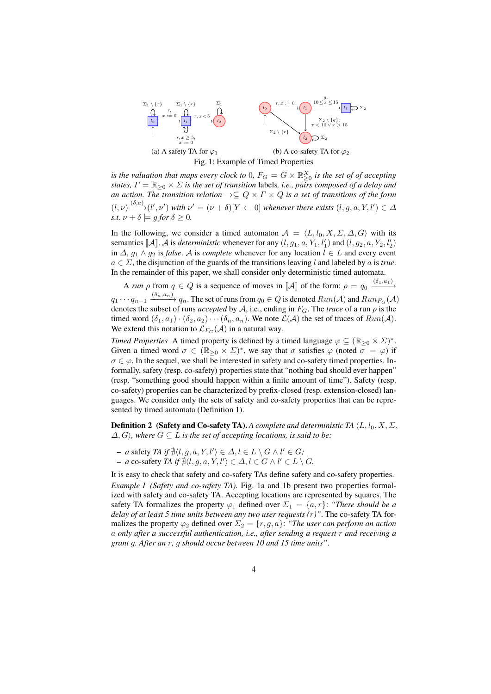

*is the valuation that maps every clock to* 0,  $F_G = G \times \mathbb{R}^X_{\geq 0}$  *is the set of of accepting states,*  $\Gamma = \mathbb{R}_{\geq 0} \times \Sigma$  *is the set of transition* labels, *i.e., patrich composed of a delay and an action. The transition relation* →⊆ Q × Γ × Q *is a set of transitions of the form*  $(l, \nu) \xrightarrow{( \delta, a)} (l', \nu')$  with  $\nu' = (\nu + \delta)[Y \leftarrow 0]$  whenever there exists  $(l, g, a, Y, l') \in \Delta$ *s.t.*  $\nu + \delta = q$  *for*  $\delta > 0$ *.* 

In the following, we consider a timed automaton  $\mathcal{A} = \langle L, l_0, X, \Sigma, \Delta, G \rangle$  with its semantics [[A]]. A is *deterministic* whenever for any  $(l, g_1, a, Y_1, l'_1)$  and  $(l, g_2, a, Y_2, l'_2)$ in  $\Delta$ ,  $g_1 \wedge g_2$  is *false*. A is *complete* whenever for any location  $l \in L$  and every event  $a \in \Sigma$ , the disjunction of the guards of the transitions leaving l and labeled by a is *true*. In the remainder of this paper, we shall consider only deterministic timed automata.

A *run*  $\rho$  from  $q \in Q$  is a sequence of moves in [A] of the form:  $\rho = q_0 \xrightarrow{\delta_1, a_1}$  $q_1\cdots q_{n-1}\xrightarrow[]{(\delta_n,a_n)}q_n.$  The set of runs from  $q_0\in Q$  is denoted  $Run(\mathcal{A})$  and  $Run_{F_G}(\mathcal{A})$ denotes the subset of runs *accepted* by A, i.e., ending in  $F_G$ . The *trace* of a run  $\rho$  is the timed word  $(\delta_1, a_1) \cdot (\delta_2, a_2) \cdots (\delta_n, a_n)$ . We note  $\mathcal{L}(\mathcal{A})$  the set of traces of  $Run(\mathcal{A})$ . We extend this notation to  $\mathcal{L}_{F_G}(\mathcal{A})$  in a natural way.

*Timed Properties* A timed property is defined by a timed language  $\varphi \subseteq (\mathbb{R}_{\geq 0} \times \Sigma)^*$ . Given a timed word  $\sigma \in (\mathbb{R}_{\geq 0} \times \Sigma)^*$ , we say that  $\sigma$  satisfies  $\varphi$  (noted  $\sigma \models \varphi$ ) if  $\sigma \in \varphi$ . In the sequel, we shall be interested in safety and co-safety timed properties. Informally, safety (resp. co-safety) properties state that "nothing bad should ever happen" (resp. "something good should happen within a finite amount of time"). Safety (resp. co-safety) properties can be characterized by prefix-closed (resp. extension-closed) languages. We consider only the sets of safety and co-safety properties that can be represented by timed automata (Definition 1).

**Definition 2** (Safety and Co-safety TA). A complete and deterministic TA  $\langle L, l_0, X, \Sigma, \rangle$  $\Delta$ , *G* $\rangle$ *, where*  $G \subseteq L$  *is the set of accepting locations, is said to be:* 

- $a$  safety *TA* if  $\sharp \langle l, g, a, Y, l' \rangle \in \Delta, l \in L \setminus G \wedge l' \in G$ ;
- $a$  co-safety *TA if*  $\overline{\sharp} \langle l, g, a, Y, l' \rangle \in \Delta, l \in G \wedge l' \in L \setminus G$ .

It is easy to check that safety and co-safety TAs define safety and co-safety properties. *Example 1 (Safety and co-safety TA).* Fig. 1a and 1b present two properties formalized with safety and co-safety TA. Accepting locations are represented by squares. The safety TA formalizes the property  $\varphi_1$  defined over  $\Sigma_1 = \{a, r\}$ : *"There should be a delay of at least 5 time units between any two user requests (*r*)"*. The co-safety TA formalizes the property  $\varphi_2$  defined over  $\Sigma_2 = \{r, g, a\}$ : "The user can perform an action a *only after a successful authentication, i.e., after sending a request* r *and receiving a grant* g*. After an* r*,* g *should occur between 10 and 15 time units"*.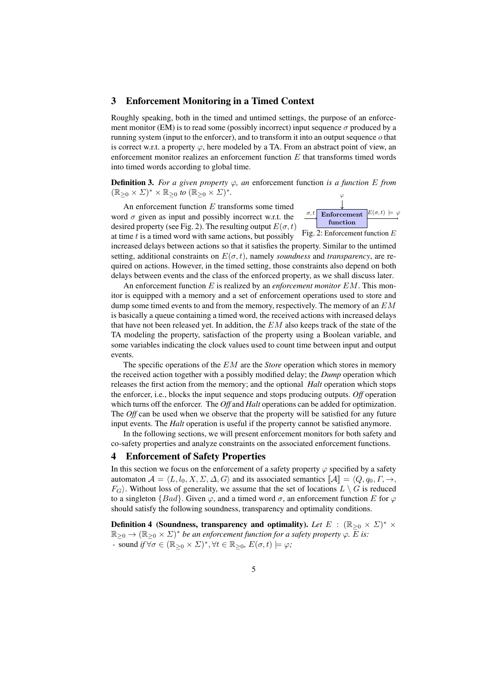# 3 Enforcement Monitoring in a Timed Context

Roughly speaking, both in the timed and untimed settings, the purpose of an enforcement monitor (EM) is to read some (possibly incorrect) input sequence  $\sigma$  produced by a running system (input to the enforcer), and to transform it into an output sequence  $\sigma$  that is correct w.r.t. a property  $\varphi$ , here modeled by a TA. From an abstract point of view, an enforcement monitor realizes an enforcement function  $E$  that transforms timed words into timed words according to global time.

**Definition 3.** For a given property  $\varphi$ , an enforcement function *is a function* E from  $(\mathbb{R}_{\geq 0} \times \Sigma)^* \times \mathbb{R}_{\geq 0}$  *to*  $(\mathbb{R}_{\geq 0} \times \Sigma)^*$ .  $\varphi$ 

An enforcement function E transforms some timed word  $\sigma$  given as input and possibly incorrect w.r.t. the desired property (see Fig. 2). The resulting output  $E(\sigma, t)$ at time  $t$  is a timed word with same actions, but possibly



increased delays between actions so that it satisfies the property. Similar to the untimed setting, additional constraints on  $E(\sigma, t)$ , namely *soundness* and *transparency*, are required on actions. However, in the timed setting, those constraints also depend on both delays between events and the class of the enforced property, as we shall discuss later.

An enforcement function E is realized by an *enforcement monitor* EM. This monitor is equipped with a memory and a set of enforcement operations used to store and dump some timed events to and from the memory, respectively. The memory of an  $EM$ is basically a queue containing a timed word, the received actions with increased delays that have not been released yet. In addition, the  $EM$  also keeps track of the state of the TA modeling the property, satisfaction of the property using a Boolean variable, and some variables indicating the clock values used to count time between input and output events.

The specific operations of the EM are the *Store* operation which stores in memory the received action together with a possibly modified delay; the *Dump* operation which releases the first action from the memory; and the optional *Halt* operation which stops the enforcer, i.e., blocks the input sequence and stops producing outputs. *Off* operation which turns off the enforcer. The *Off* and *Halt* operations can be added for optimization. The *Off* can be used when we observe that the property will be satisfied for any future input events. The *Halt* operation is useful if the property cannot be satisfied anymore.

In the following sections, we will present enforcement monitors for both safety and co-safety properties and analyze constraints on the associated enforcement functions.

# 4 Enforcement of Safety Properties

In this section we focus on the enforcement of a safety property  $\varphi$  specified by a safety automaton  $\mathcal{A} = \langle L, l_0, X, \Sigma, \Delta, G \rangle$  and its associated semantics  $[\![\mathcal{A}]\!] = \langle Q, q_0, \Gamma, \rightarrow, \Gamma \rangle$  $F_G$ ). Without loss of generality, we assume that the set of locations  $L \setminus G$  is reduced to a singleton  ${Bad}$ . Given  $\varphi$ , and a timed word  $\sigma$ , an enforcement function E for  $\varphi$ should satisfy the following soundness, transparency and optimality conditions.

Definition 4 (Soundness, transparency and optimality). Let  $E : (\mathbb{R}_{\geq 0} \times \Sigma)^* \times$  $\mathbb{R}_{\geq 0} \to (\mathbb{R}_{\geq 0} \times \Sigma)^*$  be an enforcement function for a safety property  $\varphi$ . E is: *-* sound *if*  $\forall \sigma \in (\mathbb{R}_{\geq 0} \times \Sigma)^*$ ,  $\forall t \in \mathbb{R}_{\geq 0}$ ,  $E(\sigma, t) \models \varphi$ ;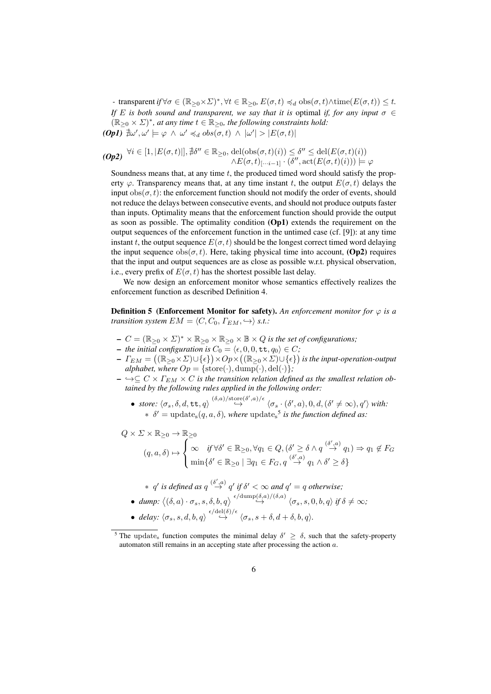*-* transparent *if*  $\forall \sigma \in (\mathbb{R}_{\geq 0} \times \Sigma)^*$ ,  $\forall t \in \mathbb{R}_{\geq 0}$ ,  $E(\sigma, t) \preccurlyeq_d \text{obs}(\sigma, t) \wedge \text{time}(E(\sigma, t)) \leq t$ . *If* E *is both sound and transparent, we say that it is optimal <i>if, for any input*  $\sigma \in$  $(\mathbb{R}_{\geq 0} \times \Sigma)^*$ , at any time  $t \in \mathbb{R}_{\geq 0}$ , the following constraints hold:  $(\mathbf{O} \mathbf{p} \mathbf{1}) \nexists \omega', \omega' \models \varphi \land \omega' \preccurlyeq_d obs(\sigma, t) \land |\omega'| > |E(\sigma, t)|$ 

$$
(Op2) \quad \forall i \in [1, |E(\sigma, t)|], \nexists \delta'' \in \mathbb{R}_{\geq 0}, \, \text{del}(\text{obs}(\sigma, t)(i)) \leq \delta'' \leq \text{del}(E(\sigma, t)(i)) \land E(\sigma, t)_{[\dots i-1]} \cdot (\delta'', \text{act}(E(\sigma, t)(i))) \models \varphi
$$

Soundness means that, at any time  $t$ , the produced timed word should satisfy the property  $\varphi$ . Transparency means that, at any time instant t, the output  $E(\sigma, t)$  delays the input  $obs(\sigma, t)$ : the enforcement function should not modify the order of events, should not reduce the delays between consecutive events, and should not produce outputs faster than inputs. Optimality means that the enforcement function should provide the output as soon as possible. The optimality condition  $(Op1)$  extends the requirement on the output sequences of the enforcement function in the untimed case (cf. [9]): at any time instant t, the output sequence  $E(\sigma, t)$  should be the longest correct timed word delaying the input sequence  $obs(\sigma, t)$ . Here, taking physical time into account, (**Op2**) requires that the input and output sequences are as close as possible w.r.t. physical observation, i.e., every prefix of  $E(\sigma, t)$  has the shortest possible last delay.

We now design an enforcement monitor whose semantics effectively realizes the enforcement function as described Definition 4.

**Definition 5** (Enforcement Monitor for safety). An enforcement monitor for  $\varphi$  is a *transition system*  $EM = \langle C, C_0, \Gamma_{EM}, \hookrightarrow \rangle$  *s.t.:* 

- $-C = (\mathbb{R}_{\geq 0} \times \Sigma)^* \times \mathbb{R}_{\geq 0} \times \mathbb{R}_{\geq 0} \times \mathbb{B} \times Q$  *is the set of configurations;*
- *− the initial configuration is*  $C_0 = \langle \epsilon, 0, 0, \text{tt}, q_0 \rangle \in C$ ;
- $-I_{EM} = ((\mathbb{R}_{\geq 0} \times \Sigma) \cup \{\epsilon\}) \times Op \times ((\mathbb{R}_{\geq 0} \times \Sigma) \cup \{\epsilon\})$  is the input-operation-output *alphabet, where*  $Op = \{\text{store}(\cdot), \text{dump}(\cdot), \text{del}(\cdot)\}\;$
- $\hookrightarrow \subseteq C \times \Gamma_{EM} \times C$  *is the transition relation defined as the smallest relation obtained by the following rules applied in the following order:*
	- *store:*  $\langle \sigma_s, \delta, d, \text{tt}, q \rangle \stackrel{(\delta, a)/\text{store}(\delta', a)/\epsilon}{\hookrightarrow} \langle \sigma_s \cdot (\delta', a), 0, d, (\delta' \neq \infty), q' \rangle$  with:  $\delta' = \text{update}_{s}(q, a, \delta)$ , where  $\text{update}_{s}^{s}$  is the function defined as:

$$
Q \times \Sigma \times \mathbb{R}_{\geq 0} \to \mathbb{R}_{\geq 0}
$$
  
\n
$$
(q, a, \delta) \mapsto \begin{cases} \infty & \text{if } \forall \delta' \in \mathbb{R}_{\geq 0}, \forall q_1 \in Q, (\delta' \geq \delta \land q \stackrel{(\delta', a)}{\to} q_1) \Rightarrow q_1 \notin F_G \\ \min \{ \delta' \in \mathbb{R}_{\geq 0} \mid \exists q_1 \in F_G, q \stackrel{(\delta', a)}{\to} q_1 \land \delta' \geq \delta \} \end{cases}
$$

 $\ast$  *q'* is defined as  $q \stackrel{(\delta',a)}{\rightarrow} q'$  if  $\delta' < ∞$  and  $q' = q$  otherwise;  $\bullet$  dump:  $\langle (\delta, a) \cdot \sigma_s, s, \delta, b, q \rangle \stackrel{\epsilon/\text{dump}(\delta, a)/(\delta, a)}{\hookrightarrow} \langle \sigma_s, s, 0, b, q \rangle \text{ if } \delta \neq \infty;$ • *delay:*  $\langle \sigma_s, s, d, b, q \rangle \stackrel{\epsilon/\text{del}(\delta)/\epsilon}{\hookrightarrow} \langle \sigma_s, s + \delta, d + \delta, b, q \rangle.$ 

<sup>&</sup>lt;sup>5</sup> The update<sub>s</sub> function computes the minimal delay  $\delta' \geq \delta$ , such that the safety-property automaton still remains in an accepting state after processing the action a.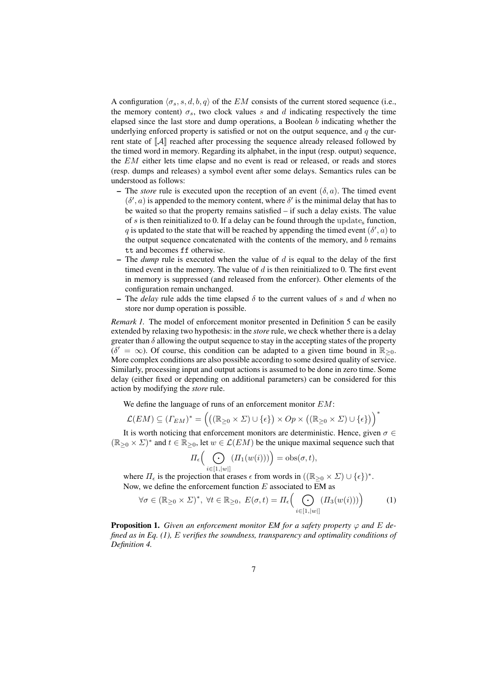A configuration  $\langle \sigma_s, s, d, b, q \rangle$  of the EM consists of the current stored sequence (i.e., the memory content)  $\sigma_s$ , two clock values s and d indicating respectively the time elapsed since the last store and dump operations, a Boolean  $b$  indicating whether the underlying enforced property is satisfied or not on the output sequence, and  $q$  the current state of  $\llbracket A \rrbracket$  reached after processing the sequence already released followed by the timed word in memory. Regarding its alphabet, in the input (resp. output) sequence, the EM either lets time elapse and no event is read or released, or reads and stores (resp. dumps and releases) a symbol event after some delays. Semantics rules can be understood as follows:

- The *store* rule is executed upon the reception of an event  $(\delta, a)$ . The timed event  $(\delta', a)$  is appended to the memory content, where  $\delta'$  is the minimal delay that has to be waited so that the property remains satisfied – if such a delay exists. The value of s is then reinitialized to 0. If a delay can be found through the update<sub>s</sub> function, q is updated to the state that will be reached by appending the timed event  $(\delta', a)$  to the output sequence concatenated with the contents of the memory, and  $b$  remains tt and becomes ff otherwise.
- $-$  The *dump* rule is executed when the value of d is equal to the delay of the first timed event in the memory. The value of  $d$  is then reinitialized to 0. The first event in memory is suppressed (and released from the enforcer). Other elements of the configuration remain unchanged.
- The *delay* rule adds the time elapsed  $\delta$  to the current values of s and d when no store nor dump operation is possible.

*Remark 1.* The model of enforcement monitor presented in Definition 5 can be easily extended by relaxing two hypothesis: in the *store* rule, we check whether there is a delay greater than  $\delta$  allowing the output sequence to stay in the accepting states of the property  $(\delta' = \infty)$ . Of course, this condition can be adapted to a given time bound in  $\mathbb{R}_{\geq 0}$ . More complex conditions are also possible according to some desired quality of service. Similarly, processing input and output actions is assumed to be done in zero time. Some delay (either fixed or depending on additional parameters) can be considered for this action by modifying the *store* rule.

We define the language of runs of an enforcement monitor  $EM$ :

$$
\mathcal{L}(EM) \subseteq (\Gamma_{EM})^* = \left( \left( (\mathbb{R}_{\geq 0} \times \Sigma) \cup \{\epsilon\} \right) \times Op \times \left( (\mathbb{R}_{\geq 0} \times \Sigma) \cup \{\epsilon\} \right) \right)^*
$$

It is worth noticing that enforcement monitors are deterministic. Hence, given  $\sigma \in$  $(\mathbb{R}_{\geq 0} \times \Sigma)^*$  and  $t \in \mathbb{R}_{\geq 0}$ , let  $w \in \mathcal{L}(EM)$  be the unique maximal sequence such that

$$
\Pi_{\epsilon}\Big(\bigodot_{i\in[1,|w|]}(\Pi_1(w(i)))\Big) = \text{obs}(\sigma,t),
$$

where  $\Pi_{\epsilon}$  is the projection that erases  $\epsilon$  from words in  $((\mathbb{R}_{\geq 0} \times \Sigma) \cup \{\epsilon\})^*$ . Now, we define the enforcement function  $E$  associated to EM as

$$
\forall \sigma \in (\mathbb{R}_{\geq 0} \times \Sigma)^*, \ \forall t \in \mathbb{R}_{\geq 0}, \ E(\sigma, t) = \Pi_{\epsilon} \Big( \bigodot_{i \in [1, |w|]} (\Pi_3(w(i))) \Big) \tag{1}
$$

**Proposition 1.** Given an enforcement monitor EM for a safety property  $\varphi$  and E de*fined as in Eq. (1),* E *verifies the soundness, transparency and optimality conditions of Definition 4.*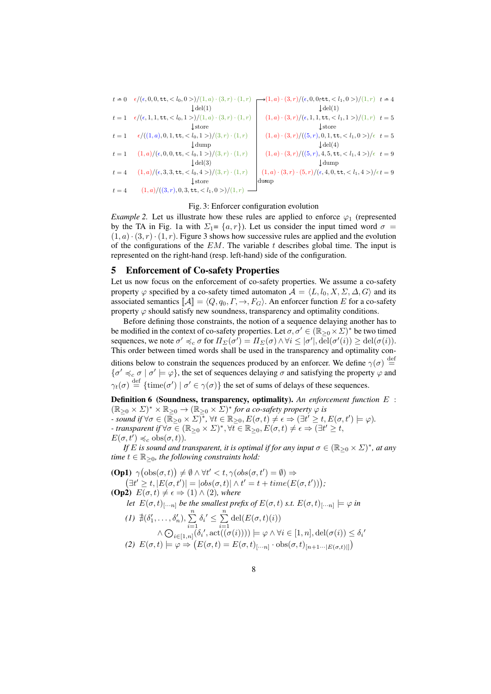|       |                                                                                       | $t = 0 \quad \epsilon/(\epsilon, 0, 0, \text{tt}, ) / (1, a) \cdot (3, r) \cdot (1, r) \quad \rightarrow (1, a) \cdot (3, r) / (\epsilon, 0, 0, \text{tt}, $ |
|-------|---------------------------------------------------------------------------------------|--------------------------------------------------------------------------------------------------------------------------------------------------------------|
|       | del(1)                                                                                | $\text{del}(1)$                                                                                                                                              |
|       | $t = 1 \quad \epsilon/(\epsilon, 1, 1, \text{tt}, )/(1, a) \cdot (3, r) \cdot (1, r)$ | $(1,a) \cdot (3,r)/(\epsilon,1,1,\text{tt},\langle l_1,1 \rangle)/((1,r))$ $t=5$                                                                             |
|       | store                                                                                 | .store                                                                                                                                                       |
| $t=1$ | $\epsilon/((1, a), 0, 1, \mathtt{tt}, )/(3, r) \cdot (1, r)$                          | $(1,a) \cdot (3,r)/((5,r),0,1,\texttt{tt},< l_1,0>)/\epsilon$ $t=5$                                                                                          |
|       | dump                                                                                  | $\text{del}(4)$                                                                                                                                              |
| $t=1$ | $(1, a)/(\epsilon, 0, 0, \text{tt}, )/(3, r) \cdot (1, r)$                            | $(1,a) \cdot (3,r)/((5,r), 4, 5, \text{tt}, )/\epsilon$ $t=9$                                                                                                |
|       | $\lfloor$ del(3)                                                                      | $\,\,\mathrm{l}$ dump                                                                                                                                        |
| $t=4$ | $(1,a)/(\epsilon,3,3,\texttt{tt},)/(3,r)\cdot(1,r)$                                   | $(1,a) \cdot (3,r) \cdot (5,r)/(\epsilon, 4, 0, \text{tt}, )/\epsilon t = 9$                                                                                 |
|       | $\mathsf{L}$ store                                                                    | dump                                                                                                                                                         |
| $t=4$ | $(1, a)/((3, r), 0, 3, \mathtt{tt}, )/(1, r)$                                         |                                                                                                                                                              |

#### Fig. 3: Enforcer configuration evolution

*Example 2.* Let us illustrate how these rules are applied to enforce  $\varphi_1$  (represented by the TA in Fig. 1a with  $\Sigma_1 = \{a, r\}$ ). Let us consider the input timed word  $\sigma =$  $(1, a) \cdot (3, r) \cdot (1, r)$ . Figure 3 shows how successive rules are applied and the evolution of the configurations of the  $EM$ . The variable t describes global time. The input is represented on the right-hand (resp. left-hand) side of the configuration.

#### 5 Enforcement of Co-safety Properties

Let us now focus on the enforcement of co-safety properties. We assume a co-safety property  $\varphi$  specified by a co-safety timed automaton  $\mathcal{A} = \langle L, l_0, X, \Sigma, \Delta, G \rangle$  and its associated semantics  $\|\mathcal{A}\| = \langle Q, q_0, \Gamma, \to, F_G \rangle$ . An enforcer function E for a co-safety property  $\varphi$  should satisfy new soundness, transparency and optimality conditions.

Before defining those constraints, the notion of a sequence delaying another has to be modified in the context of co-safety properties. Let  $\sigma, \sigma' \in (\mathbb{R}_{\geq 0} \times \Sigma)^*$  be two timed sequences, we note  $\sigma' \preccurlyeq_c \sigma$  for  $\Pi_{\Sigma}(\sigma') = \Pi_{\Sigma}(\sigma) \wedge \forall i \leq |\sigma'|, \overline{\text{del}}(\sigma'(i)) \geq \text{del}(\sigma(i)).$ This order between timed words shall be used in the transparency and optimality conditions below to constrain the sequences produced by an enforcer. We define  $\gamma(\sigma) \stackrel{\text{def}}{=}$  $\{\sigma' \preccurlyeq_c \sigma \mid \sigma' \models \varphi\}$ , the set of sequences delaying  $\sigma$  and satisfying the property  $\varphi$  and  $\gamma_t(\sigma) \stackrel{\text{def}}{=} {\{\rm time}(\sigma') \mid \sigma' \in \gamma(\sigma)\}$  the set of sums of delays of these sequences.

Definition 6 (Soundness, transparency, optimality). *An enforcement function* E :  $(\mathbb{R}_{\geq 0} \times \Sigma)^* \times \mathbb{R}_{\geq 0} \to (\mathbb{R}_{\geq 0} \times \Sigma)^*$  *for a co-safety property*  $\varphi$  *is*  $\lambda$ *-* sound if  $\forall \sigma \in (\overline{\mathbb{R}}_{\geq 0} \times \Sigma)^{\overline{*}}$ ,  $\forall t \in \mathbb{R}_{\geq 0}$ ,  $E(\sigma, t) \neq \epsilon \Rightarrow (\exists t' \geq t, E(\sigma, t') \models \varphi)$ . *- transparent if*  $\forall \sigma \in (\mathbb{R}_{\geq 0} \times \Sigma)^*, \forall t \in \mathbb{R}_{\geq 0}, E(\sigma, t) \neq \epsilon \Rightarrow (\exists t' \geq t,$ 

 $E(\sigma, t') \preccurlyeq_c \text{obs}(\sigma, t)$ ).

*If*  $E$  *is sound and transparent, it is optimal if for any input*  $\sigma \in (\mathbb{R}_{\geq 0} \times \Sigma)^*$ *, at any time*  $t \in \mathbb{R}_{\geq 0}$ *, the following constraints hold:* 

**(Op1)**  $\gamma(\text{obs}(\sigma, t)) \neq \emptyset \land \forall t' < t, \gamma(\text{obs}(\sigma, t') = \emptyset) \Rightarrow$  $(\exists t' \geq t, |E(\sigma, t')| = |obs(\sigma, t)| \wedge t' = t + time(E(\sigma, t')));$ **(Op2)**  $E(\sigma, t) \neq \epsilon \Rightarrow (1) \wedge (2)$ *, where* 

*let*  $E(\sigma, t)$ <sub>[…n]</sub> *be the smallest prefix of*  $E(\sigma, t)$  *s.t.*  $E(\sigma, t)$ <sub>[…n]</sub>  $\models \varphi$  *in* 

*(1)*  $\exists (\delta'_1, \ldots, \delta'_n), \sum^n$  $\sum_{i=1}^n {\delta_i}' \leq \sum_{i=1}^n$  $i=1$  $del(E(\sigma,t)(i))$  $\land \bigodot_{i \in [1,n]} (\delta_i', \text{act}((\sigma(i)))) \models \varphi \land \forall i \in [1,n], \text{del}(\sigma(i)) \leq \delta_i'$ (2)  $E(\sigma, t) \models \varphi \Rightarrow (E(\sigma, t) = E(\sigma, t)_{\lceil \cdots n \rceil} \cdot \text{obs}(\sigma, t)_{\lceil n+1 \cdots \rceil E(\sigma, t) \rceil})$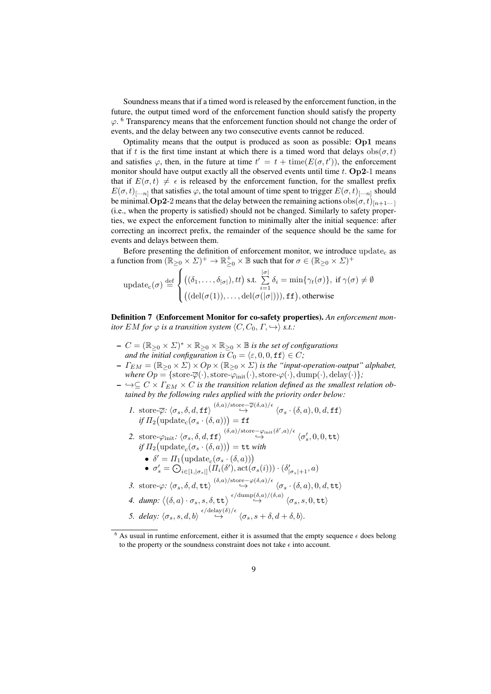Soundness means that if a timed word is released by the enforcement function, in the future, the output timed word of the enforcement function should satisfy the property  $\varphi$ . <sup>6</sup> Transparency means that the enforcement function should not change the order of events, and the delay between any two consecutive events cannot be reduced.

Optimality means that the output is produced as soon as possible: Op1 means that if t is the first time instant at which there is a timed word that delays  $obs(\sigma, t)$ and satisfies  $\varphi$ , then, in the future at time  $t' = t + \text{time}(E(\sigma, t'))$ , the enforcement monitor should have output exactly all the observed events until time  $t$ .  $Op2-1$  means that if  $E(\sigma, t) \neq \epsilon$  is released by the enforcement function, for the smallest prefix  $E(\sigma,t)_{[...n]}$  that satisfies  $\varphi$ , the total amount of time spent to trigger  $E(\sigma,t)_{[...n]}$  should be minimal. Op2-2 means that the delay between the remaining actions  $\cos(\sigma, t)_{[n+1\cdots]}$ (i.e., when the property is satisfied) should not be changed. Similarly to safety properties, we expect the enforcement function to minimally alter the initial sequence: after correcting an incorrect prefix, the remainder of the sequence should be the same for events and delays between them.

Before presenting the definition of enforcement monitor, we introduce update<sub>c</sub> as a function from  $(\mathbb{R}_{\geq 0} \times \Sigma)^+ \to \mathbb{R}_{\geq 0}^+ \times \mathbb{B}$  such that for  $\sigma \in (\mathbb{R}_{\geq 0} \times \Sigma)^+$ 

$$
\text{update}_{\text{c}}(\sigma) \stackrel{\text{def}}{=} \begin{cases} ((\delta_1, \ldots, \delta_{|\sigma|}), \text{tr}) \text{ s.t. } \sum_{i=1}^{|\sigma|} \delta_i = \min\{\gamma_t(\sigma)\}, \text{ if } \gamma(\sigma) \neq \emptyset \\ ((\text{del}(\sigma(1)), \ldots, \text{del}(\sigma(|\sigma|))), \text{tf}), \text{otherwise} \end{cases}
$$

Definition 7 (Enforcement Monitor for co-safety properties). *An enforcement monitor* EM for  $\varphi$  *is a transition system*  $\langle C, C_0, \Gamma, \hookrightarrow \rangle$  *s.t.:* 

- $C = (\mathbb{R}_{\geq 0} \times \Sigma)^* \times \mathbb{R}_{\geq 0} \times \mathbb{R}_{\geq 0} \times \mathbb{B}$  *is the set of configurations and the initial configuration is*  $C_0 = \langle \varepsilon, 0, 0, \mathbf{f} \mathbf{f} \rangle \in C$ ;
- $-\Gamma_{EM} = (\mathbb{R}_{\geq 0} \times \Sigma) \times Op \times (\mathbb{R}_{\geq 0} \times \Sigma)$  *is the "input-operation-output" alphabet,*  $where \, Op = \{\text{store-}\overline{\varphi}(\cdot), \text{store-}\varphi_{\text{init}}(\cdot), \text{store-}\varphi(\cdot), \text{dump}(\cdot), \text{delay}(\cdot)\}\;$
- $\hookrightarrow \subseteq C \times \Gamma_{EM} \times C$  *is the transition relation defined as the smallest relation obtained by the following rules applied with the priority order below:*
	- *1.* store- $\overline{\varphi}$ :  $\langle \sigma_s, \delta, d, \mathbf{ff} \rangle \stackrel{(\delta,a)/\text{store}-\overline{\varphi}(\delta,a)/\epsilon}{\hookrightarrow} \langle \sigma_s \cdot (\delta, a), 0, d, \mathbf{ff} \rangle$  $if \varPi_2 \big( \mathrm{update_c}(\sigma_s \cdot (\delta,a)) \big) = \mathtt{ff}$
	- $2. \ \mathrm{store}\text{-}\varphi_{\mathrm{init}}\colon \langle\sigma_s,\delta,d,\mathtt{ff}\rangle \stackrel{(\delta,a)/\mathrm{store}-\varphi_{\mathrm{init}}(\delta',a)/\epsilon}{\hookrightarrow} \langle\sigma'_s,0,0,\mathtt{tt}\rangle$  $if \, \Pi_2 \big( \mathrm{update}_c(\sigma_s \cdot (\delta,a)) \big) = \mathtt{tt} \; with$

• 
$$
\delta' = \Pi_1 \big( \text{update}_c(\sigma_s \cdot (\delta, a)) \big)
$$

- $\sigma'_{s} = \bigodot_{i \in [1, |\sigma_{s}|]} (H_{i}(\delta'), \text{act}(\sigma_{s}(i))) \cdot (\delta'_{|\sigma_{s}|+1}, a)$
- 3. store- $\varphi$ :  $\langle \sigma_s, \delta, d, \texttt{tt} \rangle \stackrel{(\delta, a)/\text{store}-\varphi(\delta, a)/\epsilon}{\hookrightarrow} \langle \sigma_s \cdot (\delta, a), 0, d, \texttt{tt} \rangle$
- $4.~\textit{dump: } \big\langle (\delta,a)\cdot\sigma_s, s, \delta, \texttt{tt} \big\rangle \overset{\epsilon/\text{dump}(\delta,a)/(\delta,a)}{\hookrightarrow} \langle \sigma_s, s, 0, \texttt{tt} \rangle$

<sup>5.</sup> *delay:*  $\langle \sigma_s, s, d, b \rangle \stackrel{\epsilon/ \text{delay}(\delta)/\epsilon}{\hookrightarrow} \langle \sigma_s, s + \delta, d + \delta, b \rangle.$ 

<sup>&</sup>lt;sup>6</sup> As usual in runtime enforcement, either it is assumed that the empty sequence  $\epsilon$  does belong to the property or the soundness constraint does not take  $\epsilon$  into account.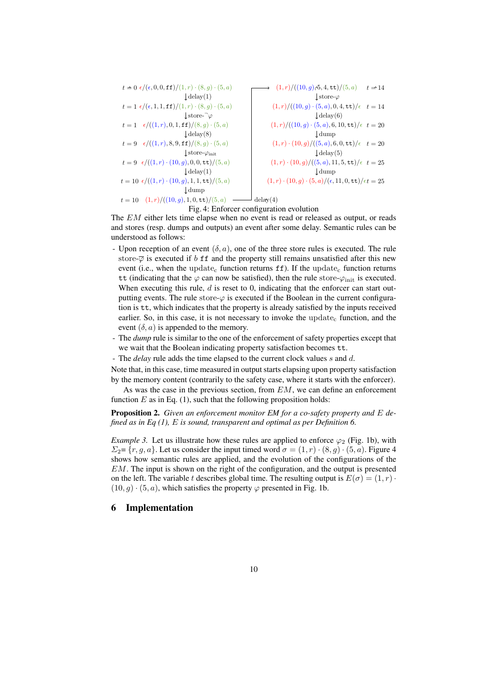$$
t = 0 \epsilon/(\epsilon, 0, 0, \text{ff})/(1, r) \cdot (8, g) \cdot (5, a)
$$
\n
$$
t = 1 \epsilon/(\epsilon, 1, 1, \text{ff})/(1, r) \cdot (8, g) \cdot (5, a)
$$
\n
$$
t = 1 \epsilon/((1, r), 0, 1, \text{ff})/(8, g) \cdot (5, a)
$$
\n
$$
t = 9 \epsilon/((1, r), 8, 9, \text{ff})/(8, g) \cdot (5, a)
$$
\n
$$
t = 9 \epsilon/((1, r) \cdot (10, g), 0, 0, \text{tt})/(5, a)
$$
\n
$$
t = 10 \epsilon/((1, r) \cdot (10, g), 1, 1, \text{tt})/(5, a)
$$
\n
$$
t = 10 \epsilon/((1, r) \cdot (10, g), 1, 1, \text{tt})/(5, a)
$$
\n
$$
t = 10 \epsilon/((1, r) \cdot (10, g), 1, 1, \text{tt})/(5, a)
$$
\n
$$
t = 10 \epsilon/((1, r) \cdot (10, g), 1, 0, \text{tt})/(5, a)
$$
\n
$$
t = 10 \epsilon/((1, r) \cdot (10, g), 1, 0, \text{tt})/(5, a)
$$
\n
$$
t = 10 \epsilon/((1, r) \cdot (10, g), 1, 0, \text{tt})/(5, a)
$$
\n
$$
t = 10 \epsilon/((1, r) \cdot (10, g), 1, 0, \text{tt})/(5, a)
$$
\n
$$
t = 10 \epsilon/((1, r) \cdot (10, g), 1, 0, \text{tt})/(5, a)
$$
\n
$$
t = 10 \epsilon/((1, r) \cdot (10, g), 1, 0, \text{tt})/(5, a)
$$
\n
$$
t = 10 \epsilon/((1, r) \cdot (10, g), 1, 0, \text{tt})/(5, a)
$$
\n
$$
t = 10 \epsilon/((1, r) \cdot (10, g), 1, 0, \text{tt})/(5, a)
$$
\n
$$
t = 10 \epsilon/((1, r) \cdot (10, g),
$$

Fig. 4: Enforcer configuration evolution

The EM either lets time elapse when no event is read or released as output, or reads and stores (resp. dumps and outputs) an event after some delay. Semantic rules can be understood as follows:

- Upon reception of an event  $(\delta, a)$ , one of the three store rules is executed. The rule store- $\overline{\varphi}$  is executed if b ff and the property still remains unsatisfied after this new event (i.e., when the update<sub>c</sub> function returns ff). If the update<sub>c</sub> function returns tt (indicating that the  $\varphi$  can now be satisfied), then the rule store- $\varphi$ <sub>init</sub> is executed. When executing this rule,  $d$  is reset to 0, indicating that the enforcer can start outputting events. The rule store- $\varphi$  is executed if the Boolean in the current configuration is tt, which indicates that the property is already satisfied by the inputs received earlier. So, in this case, it is not necessary to invoke the update<sub>c</sub> function, and the event  $(\delta, a)$  is appended to the memory.
- The *dump* rule is similar to the one of the enforcement of safety properties except that we wait that the Boolean indicating property satisfaction becomes tt.
- The *delay* rule adds the time elapsed to the current clock values s and d.

Note that, in this case, time measured in output starts elapsing upon property satisfaction by the memory content (contrarily to the safety case, where it starts with the enforcer).

As was the case in the previous section, from  $EM$ , we can define an enforcement function  $E$  as in Eq. (1), such that the following proposition holds:

Proposition 2. Given an enforcement monitor EM for a co-safety property and E de*fined as in Eq (1),* E *is sound, transparent and optimal as per Definition 6.*

*Example 3.* Let us illustrate how these rules are applied to enforce  $\varphi_2$  (Fig. 1b), with  $\Sigma_2 = \{r, g, a\}$ . Let us consider the input timed word  $\sigma = (1, r) \cdot (8, g) \cdot (5, a)$ . Figure 4 shows how semantic rules are applied, and the evolution of the configurations of the EM. The input is shown on the right of the configuration, and the output is presented on the left. The variable t describes global time. The resulting output is  $E(\sigma) = (1, r) \cdot$  $(10, g) \cdot (5, a)$ , which satisfies the property  $\varphi$  presented in Fig. 1b.

# 6 Implementation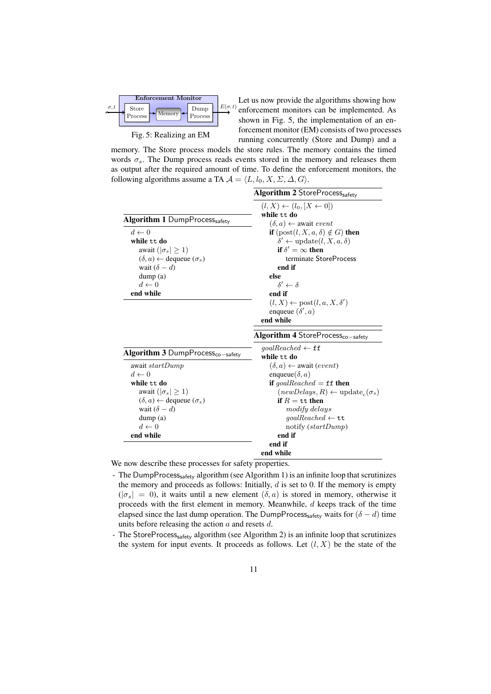

 $\sigma, t$  Store  $\Box$  E( $\sigma, t$ ) enforcement monitors can be implemented. As Let us now provide the algorithms showing how shown in Fig. 5, the implementation of an enforcement monitor (EM) consists of two processes running concurrently (Store and Dump) and a

memory. The Store process models the store rules. The memory contains the timed words  $\sigma_s$ . The Dump process reads events stored in the memory and releases them as output after the required amount of time. To define the enforcement monitors, the following algorithms assume a TA  $A = \langle L, l_0, X, \Sigma, \Delta, G \rangle$ .

|                                                                                                                                                                                                                             | <b>Algorithm 2 StoreProcess</b> safety                                                                                                                                                                                                                                                                                                                                                                                  |  |  |  |  |
|-----------------------------------------------------------------------------------------------------------------------------------------------------------------------------------------------------------------------------|-------------------------------------------------------------------------------------------------------------------------------------------------------------------------------------------------------------------------------------------------------------------------------------------------------------------------------------------------------------------------------------------------------------------------|--|--|--|--|
| <b>Algorithm 1 DumpProcess</b> safety<br>$d \leftarrow 0$<br>while tt do<br>await $( \sigma_s  \geq 1)$<br>$(\delta, a) \leftarrow$ dequeue $(\sigma_s)$<br>wait $(\delta - d)$<br>dump(a)<br>$d \leftarrow 0$<br>end while | $(l, X) \leftarrow (l_0, [X \leftarrow 0])$<br>while tt do<br>$(\delta, a) \leftarrow$ await event<br><b>if</b> $(\text{post}(l, X, a, \delta) \notin G)$ then<br>$\delta' \leftarrow \text{update}(l, X, a, \delta)$<br>if $\delta' = \infty$ then<br>terminate StoreProcess<br>end if<br>else<br>$\delta' \leftarrow \delta$<br>end if<br>$(l, X) \leftarrow \text{post}(l, a, X, \delta')$<br>enqueue $(\delta', a)$ |  |  |  |  |
|                                                                                                                                                                                                                             | end while<br>Algorithm 4 StoreProcess <sub>co-safety</sub>                                                                                                                                                                                                                                                                                                                                                              |  |  |  |  |
| Algorithm 3 DumpProcess <sub>co-safety</sub>                                                                                                                                                                                | $qoalReached \leftarrow \texttt{ff}$<br>while tt do                                                                                                                                                                                                                                                                                                                                                                     |  |  |  |  |
| await startDump                                                                                                                                                                                                             | $(\delta, a) \leftarrow$ await (event)                                                                                                                                                                                                                                                                                                                                                                                  |  |  |  |  |
| $d \leftarrow 0$                                                                                                                                                                                                            | enqueue $(\delta, a)$                                                                                                                                                                                                                                                                                                                                                                                                   |  |  |  |  |
| while tt do                                                                                                                                                                                                                 | if $goalReached = \texttt{ff}$ then                                                                                                                                                                                                                                                                                                                                                                                     |  |  |  |  |
| await $( \sigma_s  \geq 1)$                                                                                                                                                                                                 | $(newDelays, R) \leftarrow update_c(\sigma_s)$                                                                                                                                                                                                                                                                                                                                                                          |  |  |  |  |
| $(\delta, a) \leftarrow$ dequeue $(\sigma_s)$                                                                                                                                                                               | if $R = \text{tt}$ then                                                                                                                                                                                                                                                                                                                                                                                                 |  |  |  |  |
| wait $(\delta - d)$                                                                                                                                                                                                         | modify delays                                                                                                                                                                                                                                                                                                                                                                                                           |  |  |  |  |
| dump(a)                                                                                                                                                                                                                     | $qoalReached \leftarrow \mathtt{tt}$                                                                                                                                                                                                                                                                                                                                                                                    |  |  |  |  |
| $d \leftarrow 0$                                                                                                                                                                                                            | notify (startDump)                                                                                                                                                                                                                                                                                                                                                                                                      |  |  |  |  |
| end while                                                                                                                                                                                                                   | end if                                                                                                                                                                                                                                                                                                                                                                                                                  |  |  |  |  |
|                                                                                                                                                                                                                             | end if                                                                                                                                                                                                                                                                                                                                                                                                                  |  |  |  |  |
|                                                                                                                                                                                                                             | end while                                                                                                                                                                                                                                                                                                                                                                                                               |  |  |  |  |

We now describe these processes for safety properties.

- The DumpProcess<sub>safety</sub> algorithm (see Algorithm 1) is an infinite loop that scrutinizes the memory and proceeds as follows: Initially,  $d$  is set to 0. If the memory is empty  $(|\sigma_s| = 0)$ , it waits until a new element  $(\delta, a)$  is stored in memory, otherwise it proceeds with the first element in memory. Meanwhile, d keeps track of the time elapsed since the last dump operation. The DumpProcess<sub>safety</sub> waits for  $(\delta - d)$  time units before releasing the action  $a$  and resets  $d$ .
- The StoreProcess<sub>safety</sub> algorithm (see Algorithm 2) is an infinite loop that scrutinizes the system for input events. It proceeds as follows. Let  $(l, X)$  be the state of the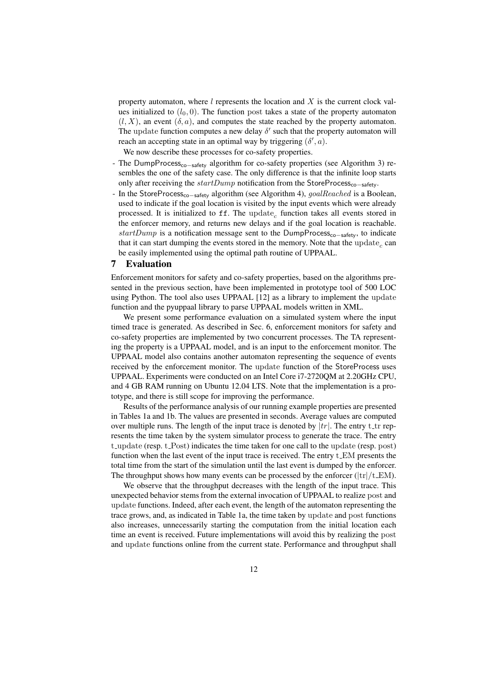property automaton, where  $l$  represents the location and  $X$  is the current clock values initialized to  $(l_0, 0)$ . The function post takes a state of the property automaton  $(l, X)$ , an event  $(\delta, a)$ , and computes the state reached by the property automaton. The update function computes a new delay  $\delta'$  such that the property automaton will reach an accepting state in an optimal way by triggering  $(\delta', a)$ .

We now describe these processes for co-safety properties.

- The DumpProcess<sub>co−safety</sub> algorithm for co-safety properties (see Algorithm 3) resembles the one of the safety case. The only difference is that the infinite loop starts only after receiving the  $startDump$  notification from the StoreProcess<sub>co−safety</sub>.
- In the StoreProcess<sub>co−safety</sub> algorithm (see Algorithm 4), goalReached is a Boolean, used to indicate if the goal location is visited by the input events which were already processed. It is initialized to  $\mathbf{ff}$ . The update<sub>c</sub> function takes all events stored in the enforcer memory, and returns new delays and if the goal location is reachable. startDump is a notification message sent to the DumpProcess<sub>co−safety</sub>, to indicate that it can start dumping the events stored in the memory. Note that the update<sub>c</sub> can be easily implemented using the optimal path routine of UPPAAL.

# 7 Evaluation

Enforcement monitors for safety and co-safety properties, based on the algorithms presented in the previous section, have been implemented in prototype tool of 500 LOC using Python. The tool also uses UPPAAL [12] as a library to implement the update function and the pyuppaal library to parse UPPAAL models written in XML.

We present some performance evaluation on a simulated system where the input timed trace is generated. As described in Sec. 6, enforcement monitors for safety and co-safety properties are implemented by two concurrent processes. The TA representing the property is a UPPAAL model, and is an input to the enforcement monitor. The UPPAAL model also contains another automaton representing the sequence of events received by the enforcement monitor. The update function of the StoreProcess uses UPPAAL. Experiments were conducted on an Intel Core i7-2720QM at 2.20GHz CPU, and 4 GB RAM running on Ubuntu 12.04 LTS. Note that the implementation is a prototype, and there is still scope for improving the performance.

Results of the performance analysis of our running example properties are presented in Tables 1a and 1b. The values are presented in seconds. Average values are computed over multiple runs. The length of the input trace is denoted by  $|tr|$ . The entry t\_tr represents the time taken by the system simulator process to generate the trace. The entry t\_update (resp. t\_Post) indicates the time taken for one call to the update (resp. post) function when the last event of the input trace is received. The entry t\_EM presents the total time from the start of the simulation until the last event is dumped by the enforcer. The throughput shows how many events can be processed by the enforcer ( $|\text{tr}|/t \text{ }EM$ ).

We observe that the throughput decreases with the length of the input trace. This unexpected behavior stems from the external invocation of UPPAAL to realize post and update functions. Indeed, after each event, the length of the automaton representing the trace grows, and, as indicated in Table 1a, the time taken by update and post functions also increases, unnecessarily starting the computation from the initial location each time an event is received. Future implementations will avoid this by realizing the post and update functions online from the current state. Performance and throughput shall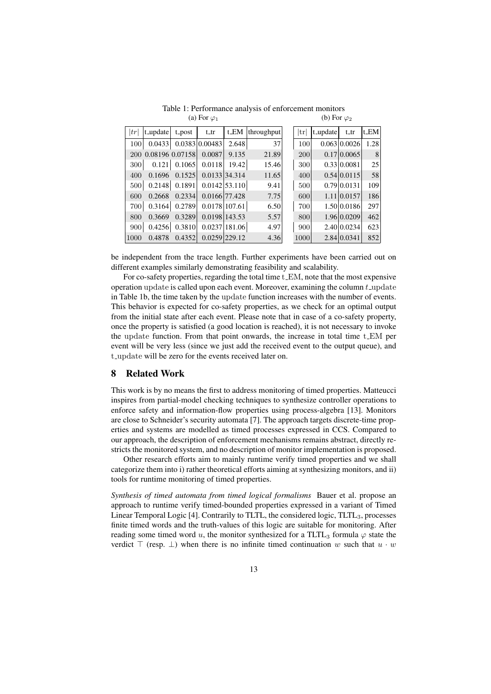| tr         | t_update | $t$ <sub>-post</sub> | $t_$           | t_EM            | throughput | tr   | $t$ _update | $t$ _ $tr$   | t_EM |
|------------|----------|----------------------|----------------|-----------------|------------|------|-------------|--------------|------|
| 100        | 0.0433   |                      | 0.0383 0.00483 | 2.648           | 37         | 100  |             | 0.063 0.0026 | 1.28 |
| <b>200</b> |          | 0.08196 0.07158      | 0.0087         | 9.135           | 21.89      | 200  |             | 0.17 0.0065  | 8    |
| 300        | 0.121    | 0.1065               | 0.0118         | 19.42           | 15.46      | 300  |             | 0.33 0.0081  | 25   |
| 400        | 0.1696   | 0.1525               |                | 0.0133 34.314   | 11.65      | 400  |             | 0.54 0.0115  | 58   |
| 500        | 0.2148   | 0.1891               |                | $0.0142$ 53.110 | 9.41       | 500  |             | 0.79 0.0131  | 109  |
| 600        | 0.2668   | 0.2334               |                | 0.0166 77.428   | 7.75       | 600  |             | 1.11 0.0157  | 186  |
| 700        | 0.3164   | 0.2789               | 0.0178 107.61  |                 | 6.50       | 700  |             | 1.50 0.0186  | 297  |
| 800        | 0.3669   | 0.3289               |                | 0.0198 143.53   | 5.57       | 800  |             | 1.96 0.0209  | 462  |
| 900        | 0.4256   | 0.3810               |                | 0.0237 181.06   | 4.97       | 900  |             | 2.40 0.0234  | 623  |
| 1000       | 0.4878   | 0.4352               |                | 0.0259 229.12   | 4.36       | 1000 |             | 2.84 0.0341  | 852  |

Table 1: Performance analysis of enforcement monitors (a) For  $\varphi_1$ (b) For  $\varphi_2$ 

be independent from the trace length. Further experiments have been carried out on different examples similarly demonstrating feasibility and scalability.

For co-safety properties, regarding the total time t EM, note that the most expensive operation update is called upon each event. Moreover, examining the column  $t$ -update in Table 1b, the time taken by the update function increases with the number of events. This behavior is expected for co-safety properties, as we check for an optimal output from the initial state after each event. Please note that in case of a co-safety property, once the property is satisfied (a good location is reached), it is not necessary to invoke the update function. From that point onwards, the increase in total time t\_EM per event will be very less (since we just add the received event to the output queue), and t<sub>-update</sub> will be zero for the events received later on.

# 8 Related Work

This work is by no means the first to address monitoring of timed properties. Matteucci inspires from partial-model checking techniques to synthesize controller operations to enforce safety and information-flow properties using process-algebra [13]. Monitors are close to Schneider's security automata [7]. The approach targets discrete-time properties and systems are modelled as timed processes expressed in CCS. Compared to our approach, the description of enforcement mechanisms remains abstract, directly restricts the monitored system, and no description of monitor implementation is proposed.

Other research efforts aim to mainly runtime verify timed properties and we shall categorize them into i) rather theoretical efforts aiming at synthesizing monitors, and ii) tools for runtime monitoring of timed properties.

*Synthesis of timed automata from timed logical formalisms* Bauer et al. propose an approach to runtime verify timed-bounded properties expressed in a variant of Timed Linear Temporal Logic  $[4]$ . Contrarily to TLTL, the considered logic, TLTL<sub>3</sub>, processes finite timed words and the truth-values of this logic are suitable for monitoring. After reading some timed word u, the monitor synthesized for a TLTL<sub>3</sub> formula  $\varphi$  state the verdict  $\top$  (resp.  $\bot$ ) when there is no infinite timed continuation w such that  $u \cdot w$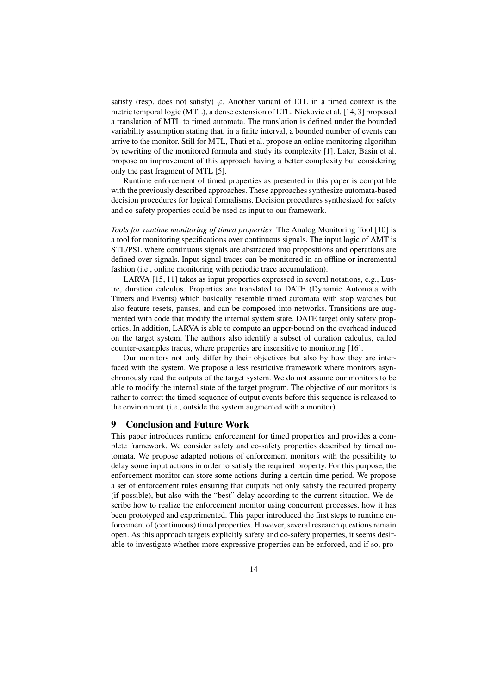satisfy (resp. does not satisfy)  $\varphi$ . Another variant of LTL in a timed context is the metric temporal logic (MTL), a dense extension of LTL. Nickovic et al. [14, 3] proposed a translation of MTL to timed automata. The translation is defined under the bounded variability assumption stating that, in a finite interval, a bounded number of events can arrive to the monitor. Still for MTL, Thati et al. propose an online monitoring algorithm by rewriting of the monitored formula and study its complexity [1]. Later, Basin et al. propose an improvement of this approach having a better complexity but considering only the past fragment of MTL [5].

Runtime enforcement of timed properties as presented in this paper is compatible with the previously described approaches. These approaches synthesize automata-based decision procedures for logical formalisms. Decision procedures synthesized for safety and co-safety properties could be used as input to our framework.

*Tools for runtime monitoring of timed properties* The Analog Monitoring Tool [10] is a tool for monitoring specifications over continuous signals. The input logic of AMT is STL/PSL where continuous signals are abstracted into propositions and operations are defined over signals. Input signal traces can be monitored in an offline or incremental fashion (i.e., online monitoring with periodic trace accumulation).

LARVA [15, 11] takes as input properties expressed in several notations, e.g., Lustre, duration calculus. Properties are translated to DATE (Dynamic Automata with Timers and Events) which basically resemble timed automata with stop watches but also feature resets, pauses, and can be composed into networks. Transitions are augmented with code that modify the internal system state. DATE target only safety properties. In addition, LARVA is able to compute an upper-bound on the overhead induced on the target system. The authors also identify a subset of duration calculus, called counter-examples traces, where properties are insensitive to monitoring [16].

Our monitors not only differ by their objectives but also by how they are interfaced with the system. We propose a less restrictive framework where monitors asynchronously read the outputs of the target system. We do not assume our monitors to be able to modify the internal state of the target program. The objective of our monitors is rather to correct the timed sequence of output events before this sequence is released to the environment (i.e., outside the system augmented with a monitor).

#### 9 Conclusion and Future Work

This paper introduces runtime enforcement for timed properties and provides a complete framework. We consider safety and co-safety properties described by timed automata. We propose adapted notions of enforcement monitors with the possibility to delay some input actions in order to satisfy the required property. For this purpose, the enforcement monitor can store some actions during a certain time period. We propose a set of enforcement rules ensuring that outputs not only satisfy the required property (if possible), but also with the "best" delay according to the current situation. We describe how to realize the enforcement monitor using concurrent processes, how it has been prototyped and experimented. This paper introduced the first steps to runtime enforcement of (continuous) timed properties. However, several research questions remain open. As this approach targets explicitly safety and co-safety properties, it seems desirable to investigate whether more expressive properties can be enforced, and if so, pro